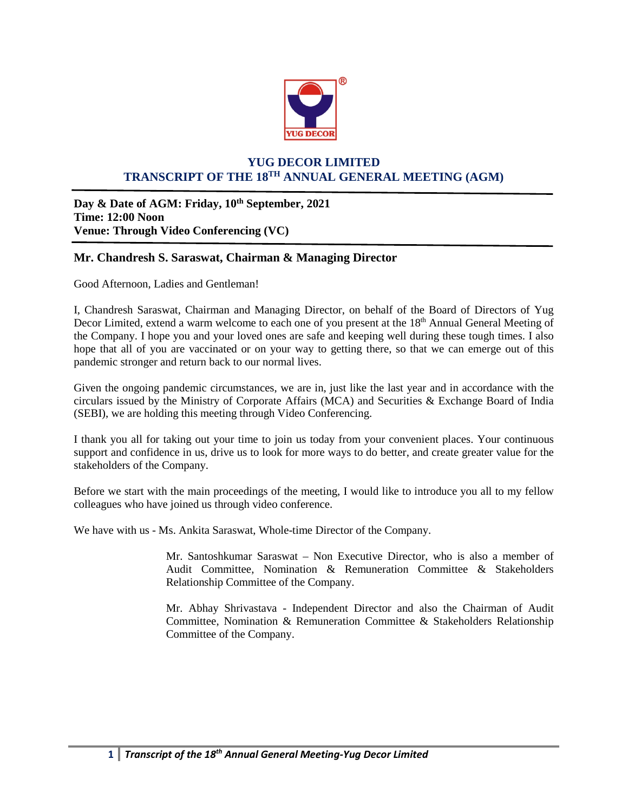

## **YUG DECOR LIMITED TRANSCRIPT OF THE 18TH ANNUAL GENERAL MEETING (AGM)**

Day & Date of AGM: Friday,  $10^{th}$  September, 2021 **Time: 12:00 Noon Venue: Through Video Conferencing (VC)**

## **Mr. Chandresh S. Saraswat, Chairman & Managing Director**

Good Afternoon, Ladies and Gentleman!

I, Chandresh Saraswat, Chairman and Managing Director, on behalf of the Board of Directors of Yug Decor Limited, extend a warm welcome to each one of you present at the 18<sup>th</sup> Annual General Meeting of the Company. I hope you and your loved ones are safe and keeping well during these tough times. I also hope that all of you are vaccinated or on your way to getting there, so that we can emerge out of this pandemic stronger and return back to our normal lives.

Given the ongoing pandemic circumstances, we are in, just like the last year and in accordance with the circulars issued by the Ministry of Corporate Affairs (MCA) and Securities & Exchange Board of India (SEBI), we are holding this meeting through Video Conferencing.

I thank you all for taking out your time to join us today from your convenient places. Your continuous support and confidence in us, drive us to look for more ways to do better, and create greater value for the stakeholders of the Company.

Before we start with the main proceedings of the meeting, I would like to introduce you all to my fellow colleagues who have joined us through video conference.

We have with us - Ms. Ankita Saraswat, Whole-time Director of the Company.

Mr. Santoshkumar Saraswat – Non Executive Director, who is also a member of Audit Committee, Nomination & Remuneration Committee & Stakeholders Relationship Committee of the Company.

Mr. Abhay Shrivastava - Independent Director and also the Chairman of Audit Committee, Nomination & Remuneration Committee & Stakeholders Relationship Committee of the Company.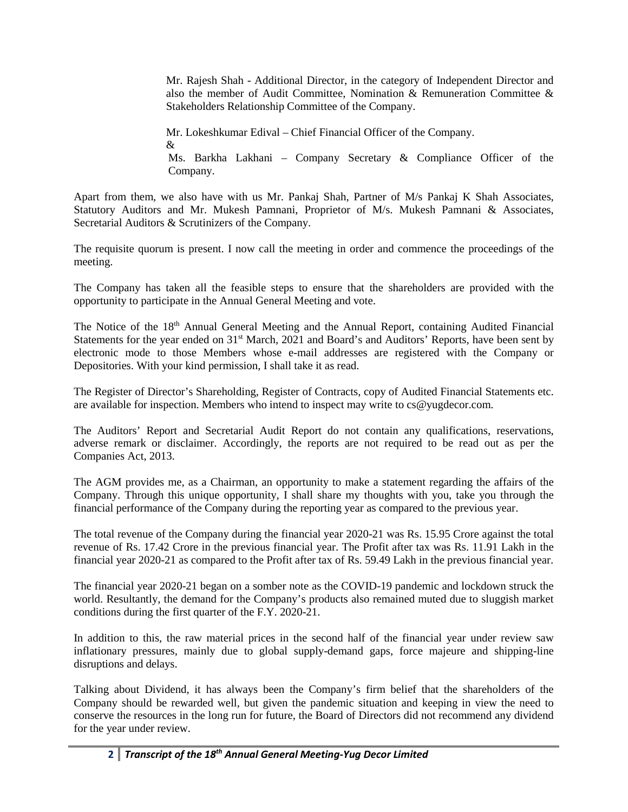Mr. Rajesh Shah - Additional Director, in the category of Independent Director and also the member of Audit Committee, Nomination & Remuneration Committee & Stakeholders Relationship Committee of the Company.

Mr. Lokeshkumar Edival – Chief Financial Officer of the Company. & Ms. Barkha Lakhani – Company Secretary & Compliance Officer of the Company.

Apart from them, we also have with us Mr. Pankaj Shah, Partner of M/s Pankaj K Shah Associates, Statutory Auditors and Mr. Mukesh Pamnani, Proprietor of M/s. Mukesh Pamnani & Associates, Secretarial Auditors & Scrutinizers of the Company.

The requisite quorum is present. I now call the meeting in order and commence the proceedings of the meeting.

The Company has taken all the feasible steps to ensure that the shareholders are provided with the opportunity to participate in the Annual General Meeting and vote.

The Notice of the 18<sup>th</sup> Annual General Meeting and the Annual Report, containing Audited Financial Statements for the year ended on 31<sup>st</sup> March, 2021 and Board's and Auditors' Reports, have been sent by electronic mode to those Members whose e-mail addresses are registered with the Company or Depositories. With your kind permission, I shall take it as read.

The Register of Director's Shareholding, Register of Contracts, copy of Audited Financial Statements etc. are available for inspection. Members who intend to inspect may write to cs@yugdecor.com.

The Auditors' Report and Secretarial Audit Report do not contain any qualifications, reservations, adverse remark or disclaimer. Accordingly, the reports are not required to be read out as per the Companies Act, 2013.

The AGM provides me, as a Chairman, an opportunity to make a statement regarding the affairs of the Company. Through this unique opportunity, I shall share my thoughts with you, take you through the financial performance of the Company during the reporting year as compared to the previous year.

The total revenue of the Company during the financial year 2020-21 was Rs. 15.95 Crore against the total revenue of Rs. 17.42 Crore in the previous financial year. The Profit after tax was Rs. 11.91 Lakh in the financial year 2020-21 as compared to the Profit after tax of Rs. 59.49 Lakh in the previous financial year.

The financial year 2020-21 began on a somber note as the COVID-19 pandemic and lockdown struck the world. Resultantly, the demand for the Company's products also remained muted due to sluggish market conditions during the first quarter of the F.Y. 2020-21.

In addition to this, the raw material prices in the second half of the financial year under review saw inflationary pressures, mainly due to global supply-demand gaps, force majeure and shipping-line disruptions and delays.

Talking about Dividend, it has always been the Company's firm belief that the shareholders of the Company should be rewarded well, but given the pandemic situation and keeping in view the need to conserve the resources in the long run for future, the Board of Directors did not recommend any dividend for the year under review.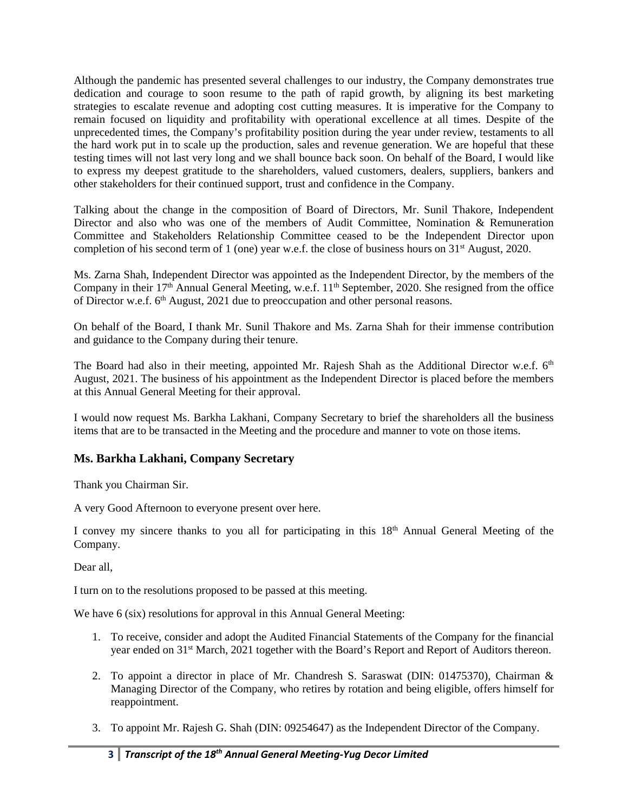Although the pandemic has presented several challenges to our industry, the Company demonstrates true dedication and courage to soon resume to the path of rapid growth, by aligning its best marketing strategies to escalate revenue and adopting cost cutting measures. It is imperative for the Company to remain focused on liquidity and profitability with operational excellence at all times. Despite of the unprecedented times, the Company's profitability position during the year under review, testaments to all the hard work put in to scale up the production, sales and revenue generation. We are hopeful that these testing times will not last very long and we shall bounce back soon. On behalf of the Board, I would like to express my deepest gratitude to the shareholders, valued customers, dealers, suppliers, bankers and other stakeholders for their continued support, trust and confidence in the Company.

Talking about the change in the composition of Board of Directors, Mr. Sunil Thakore, Independent Director and also who was one of the members of Audit Committee, Nomination & Remuneration Committee and Stakeholders Relationship Committee ceased to be the Independent Director upon completion of his second term of 1 (one) year w.e.f. the close of business hours on 31<sup>st</sup> August, 2020.

Ms. Zarna Shah, Independent Director was appointed as the Independent Director, by the members of the Company in their 17<sup>th</sup> Annual General Meeting, w.e.f. 11<sup>th</sup> September, 2020. She resigned from the office of Director w.e.f. 6th August, 2021 due to preoccupation and other personal reasons.

On behalf of the Board, I thank Mr. Sunil Thakore and Ms. Zarna Shah for their immense contribution and guidance to the Company during their tenure.

The Board had also in their meeting, appointed Mr. Rajesh Shah as the Additional Director w.e.f.  $6<sup>th</sup>$ August, 2021. The business of his appointment as the Independent Director is placed before the members at this Annual General Meeting for their approval.

I would now request Ms. Barkha Lakhani, Company Secretary to brief the shareholders all the business items that are to be transacted in the Meeting and the procedure and manner to vote on those items.

## **Ms. Barkha Lakhani, Company Secretary**

Thank you Chairman Sir.

A very Good Afternoon to everyone present over here.

I convey my sincere thanks to you all for participating in this 18<sup>th</sup> Annual General Meeting of the Company.

Dear all,

I turn on to the resolutions proposed to be passed at this meeting.

We have 6 (six) resolutions for approval in this Annual General Meeting:

- 1. To receive, consider and adopt the Audited Financial Statements of the Company for the financial year ended on 31<sup>st</sup> March, 2021 together with the Board's Report and Report of Auditors thereon.
- 2. To appoint a director in place of Mr. Chandresh S. Saraswat (DIN: 01475370), Chairman & Managing Director of the Company, who retires by rotation and being eligible, offers himself for reappointment.
- 3. To appoint Mr. Rajesh G. Shah (DIN: 09254647) as the Independent Director of the Company.